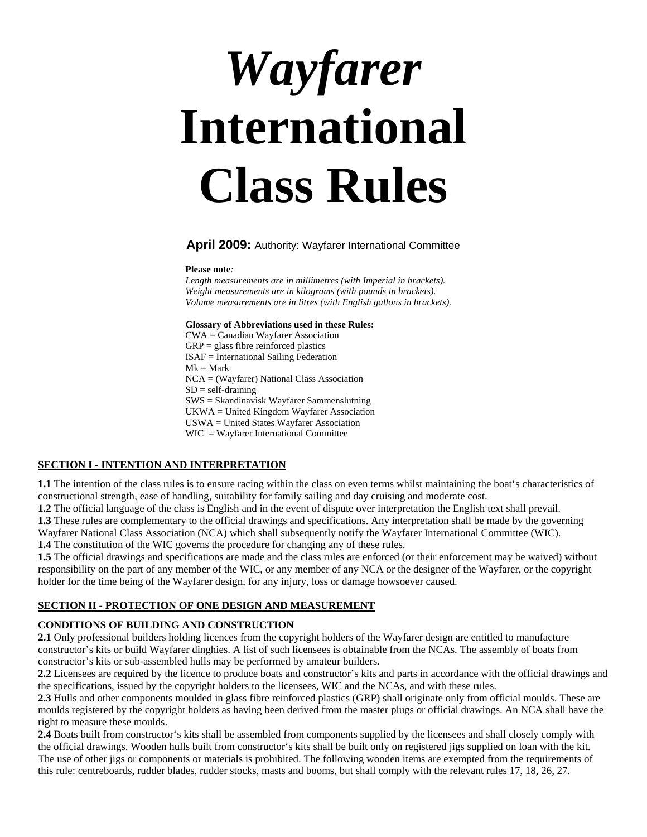# *Wayfarer*  **International Class Rules**

#### **April 2009:** Authority: Wayfarer International Committee

#### **Please note***:*

*Length measurements are in millimetres (with Imperial in brackets). Weight measurements are in kilograms (with pounds in brackets). Volume measurements are in litres (with English gallons in brackets).*

#### **Glossary of Abbreviations used in these Rules:**

CWA = Canadian Wayfarer Association  $\text{GRP} = \text{glass fibre reinforced plastics}$ ISAF = International Sailing Federation  $Mk = Mark$ NCA = (Wayfarer) National Class Association  $SD = self-draining$ SWS = Skandinavisk Wayfarer Sammenslutning UKWA = United Kingdom Wayfarer Association USWA = United States Wayfarer Association WIC = Wayfarer International Committee

#### **SECTION I - INTENTION AND INTERPRETATION**

**1.1** The intention of the class rules is to ensure racing within the class on even terms whilst maintaining the boat's characteristics of constructional strength, ease of handling, suitability for family sailing and day cruising and moderate cost.

**1.2** The official language of the class is English and in the event of dispute over interpretation the English text shall prevail.

**1.3** These rules are complementary to the official drawings and specifications. Any interpretation shall be made by the governing

Wayfarer National Class Association (NCA) which shall subsequently notify the Wayfarer International Committee (WIC).

**1.4** The constitution of the WIC governs the procedure for changing any of these rules.

**1.5** The official drawings and specifications are made and the class rules are enforced (or their enforcement may be waived) without responsibility on the part of any member of the WIC, or any member of any NCA or the designer of the Wayfarer, or the copyright holder for the time being of the Wayfarer design, for any injury, loss or damage howsoever caused.

#### **SECTION II - PROTECTION OF ONE DESIGN AND MEASUREMENT**

#### **CONDITIONS OF BUILDING AND CONSTRUCTION**

**2.1** Only professional builders holding licences from the copyright holders of the Wayfarer design are entitled to manufacture constructor's kits or build Wayfarer dinghies. A list of such licensees is obtainable from the NCAs. The assembly of boats from constructor's kits or sub-assembled hulls may be performed by amateur builders.

**2.2** Licensees are required by the licence to produce boats and constructor's kits and parts in accordance with the official drawings and the specifications, issued by the copyright holders to the licensees, WIC and the NCAs, and with these rules.

**2.3** Hulls and other components moulded in glass fibre reinforced plastics (GRP) shall originate only from official moulds. These are moulds registered by the copyright holders as having been derived from the master plugs or official drawings. An NCA shall have the right to measure these moulds.

**2.4** Boats built from constructor's kits shall be assembled from components supplied by the licensees and shall closely comply with the official drawings. Wooden hulls built from constructor's kits shall be built only on registered jigs supplied on loan with the kit. The use of other jigs or components or materials is prohibited. The following wooden items are exempted from the requirements of this rule: centreboards, rudder blades, rudder stocks, masts and booms, but shall comply with the relevant rules 17, 18, 26, 27.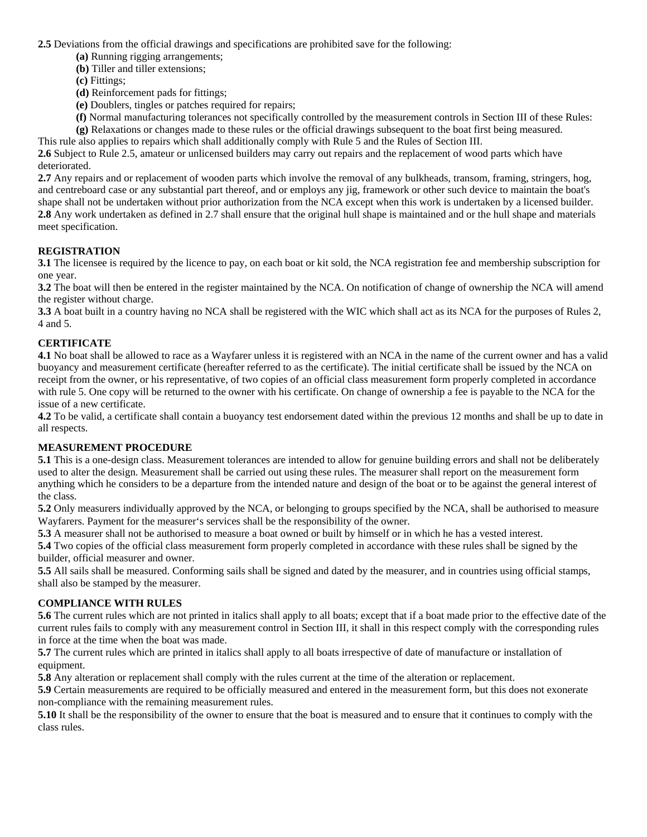**2.5** Deviations from the official drawings and specifications are prohibited save for the following:

- **(a)** Running rigging arrangements;
- **(b)** Tiller and tiller extensions;
- **(c)** Fittings;
- **(d)** Reinforcement pads for fittings;
- **(e)** Doublers, tingles or patches required for repairs;

 **(f)** Normal manufacturing tolerances not specifically controlled by the measurement controls in Section III of these Rules: **(g)** Relaxations or changes made to these rules or the official drawings subsequent to the boat first being measured.

This rule also applies to repairs which shall additionally comply with Rule 5 and the Rules of Section III.

**2.6** Subject to Rule 2.5, amateur or unlicensed builders may carry out repairs and the replacement of wood parts which have deteriorated.

**2.7** Any repairs and or replacement of wooden parts which involve the removal of any bulkheads, transom, framing, stringers, hog, and centreboard case or any substantial part thereof, and or employs any jig, framework or other such device to maintain the boat's shape shall not be undertaken without prior authorization from the NCA except when this work is undertaken by a licensed builder. **2.8** Any work undertaken as defined in 2.7 shall ensure that the original hull shape is maintained and or the hull shape and materials meet specification.

## **REGISTRATION**

**3.1** The licensee is required by the licence to pay, on each boat or kit sold, the NCA registration fee and membership subscription for one year.

**3.2** The boat will then be entered in the register maintained by the NCA. On notification of change of ownership the NCA will amend the register without charge.

**3.3** A boat built in a country having no NCA shall be registered with the WIC which shall act as its NCA for the purposes of Rules 2, 4 and 5.

## **CERTIFICATE**

**4.1** No boat shall be allowed to race as a Wayfarer unless it is registered with an NCA in the name of the current owner and has a valid buoyancy and measurement certificate (hereafter referred to as the certificate). The initial certificate shall be issued by the NCA on receipt from the owner, or his representative, of two copies of an official class measurement form properly completed in accordance with rule 5. One copy will be returned to the owner with his certificate. On change of ownership a fee is payable to the NCA for the issue of a new certificate.

**4.2** To be valid, a certificate shall contain a buoyancy test endorsement dated within the previous 12 months and shall be up to date in all respects.

## **MEASUREMENT PROCEDURE**

**5.1** This is a one-design class. Measurement tolerances are intended to allow for genuine building errors and shall not be deliberately used to alter the design. Measurement shall be carried out using these rules. The measurer shall report on the measurement form anything which he considers to be a departure from the intended nature and design of the boat or to be against the general interest of the class.

**5.2** Only measurers individually approved by the NCA, or belonging to groups specified by the NCA, shall be authorised to measure Wayfarers. Payment for the measurer's services shall be the responsibility of the owner.

**5.3** A measurer shall not be authorised to measure a boat owned or built by himself or in which he has a vested interest.

**5.4** Two copies of the official class measurement form properly completed in accordance with these rules shall be signed by the builder, official measurer and owner.

**5.5** All sails shall be measured. Conforming sails shall be signed and dated by the measurer, and in countries using official stamps, shall also be stamped by the measurer.

#### **COMPLIANCE WITH RULES**

**5.6** The current rules which are not printed in italics shall apply to all boats; except that if a boat made prior to the effective date of the current rules fails to comply with any measurement control in Section III, it shall in this respect comply with the corresponding rules in force at the time when the boat was made.

**5.7** The current rules which are printed in italics shall apply to all boats irrespective of date of manufacture or installation of equipment.

**5.8** Any alteration or replacement shall comply with the rules current at the time of the alteration or replacement.

**5.9** Certain measurements are required to be officially measured and entered in the measurement form, but this does not exonerate non-compliance with the remaining measurement rules.

**5.10** It shall be the responsibility of the owner to ensure that the boat is measured and to ensure that it continues to comply with the class rules.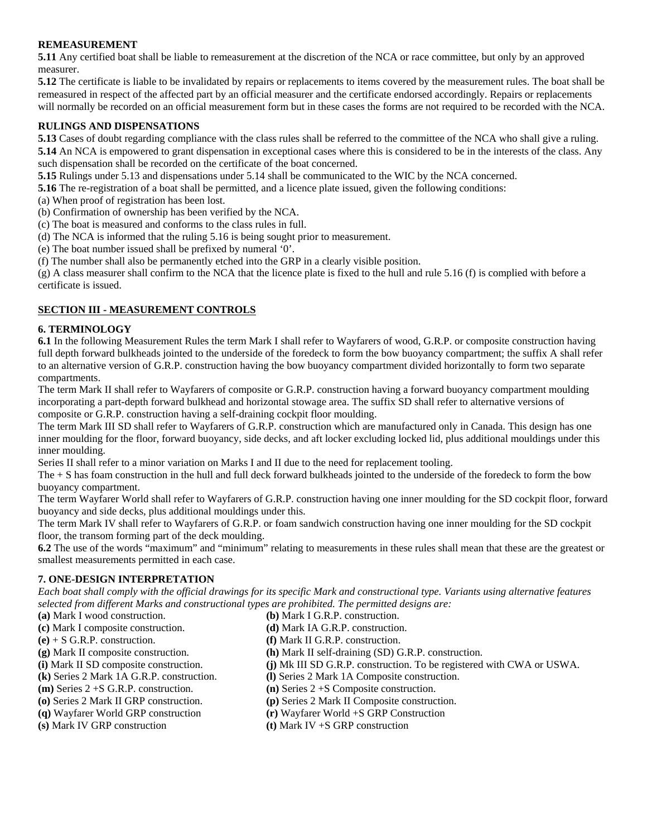#### **REMEASUREMENT**

**5.11** Any certified boat shall be liable to remeasurement at the discretion of the NCA or race committee, but only by an approved measurer.

**5.12** The certificate is liable to be invalidated by repairs or replacements to items covered by the measurement rules. The boat shall be remeasured in respect of the affected part by an official measurer and the certificate endorsed accordingly. Repairs or replacements will normally be recorded on an official measurement form but in these cases the forms are not required to be recorded with the NCA.

#### **RULINGS AND DISPENSATIONS**

**5.13** Cases of doubt regarding compliance with the class rules shall be referred to the committee of the NCA who shall give a ruling.

**5.14** An NCA is empowered to grant dispensation in exceptional cases where this is considered to be in the interests of the class. Any such dispensation shall be recorded on the certificate of the boat concerned.

**5.15** Rulings under 5.13 and dispensations under 5.14 shall be communicated to the WIC by the NCA concerned.

**5.16** The re-registration of a boat shall be permitted, and a licence plate issued, given the following conditions:

- (a) When proof of registration has been lost.
- (b) Confirmation of ownership has been verified by the NCA.
- (c) The boat is measured and conforms to the class rules in full.
- (d) The NCA is informed that the ruling 5.16 is being sought prior to measurement.
- (e) The boat number issued shall be prefixed by numeral '0'.

(f) The number shall also be permanently etched into the GRP in a clearly visible position.

(g) A class measurer shall confirm to the NCA that the licence plate is fixed to the hull and rule 5.16 (f) is complied with before a certificate is issued.

#### **SECTION III - MEASUREMENT CONTROLS**

#### **6. TERMINOLOGY**

**6.1** In the following Measurement Rules the term Mark I shall refer to Wayfarers of wood, G.R.P. or composite construction having full depth forward bulkheads jointed to the underside of the foredeck to form the bow buoyancy compartment; the suffix A shall refer to an alternative version of G.R.P. construction having the bow buoyancy compartment divided horizontally to form two separate compartments.

The term Mark II shall refer to Wayfarers of composite or G.R.P. construction having a forward buoyancy compartment moulding incorporating a part-depth forward bulkhead and horizontal stowage area. The suffix SD shall refer to alternative versions of composite or G.R.P. construction having a self-draining cockpit floor moulding.

The term Mark III SD shall refer to Wayfarers of G.R.P. construction which are manufactured only in Canada. This design has one inner moulding for the floor, forward buoyancy, side decks, and aft locker excluding locked lid, plus additional mouldings under this inner moulding.

Series II shall refer to a minor variation on Marks I and II due to the need for replacement tooling.

The + S has foam construction in the hull and full deck forward bulkheads jointed to the underside of the foredeck to form the bow buoyancy compartment.

The term Wayfarer World shall refer to Wayfarers of G.R.P. construction having one inner moulding for the SD cockpit floor, forward buoyancy and side decks, plus additional mouldings under this.

The term Mark IV shall refer to Wayfarers of G.R.P. or foam sandwich construction having one inner moulding for the SD cockpit floor, the transom forming part of the deck moulding.

**6.2** The use of the words "maximum" and "minimum" relating to measurements in these rules shall mean that these are the greatest or smallest measurements permitted in each case.

#### **7. ONE-DESIGN INTERPRETATION**

*Each boat shall comply with the official drawings for its specific Mark and constructional type. Variants using alternative features selected from different Marks and constructional types are prohibited. The permitted designs are:* 

- 
- **(c)** Mark I composite construction. **(d)** Mark IA G.R.P. construction.
- **(e)** + S G.R.P. construction. **(f)** Mark II G.R.P. construction.
- 
- 
- 
- 
- 
- 

- **(a)** Mark I wood construction. **(b)** Mark I G.R.P. construction.
	-
	-
- **(g)** Mark II composite construction. **(h)** Mark II self-draining (SD) G.R.P. construction.
- **(i)** Mark II SD composite construction. **(j)** Mk III SD G.R.P. construction. To be registered with CWA or USWA.
- **(k)** Series 2 Mark 1A G.R.P. construction. **(l)** Series 2 Mark 1A Composite construction.
- **(m)** Series 2 +S G.R.P. construction. **(n)** Series 2 +S Composite construction.
- **(o)** Series 2 Mark II GRP construction. **(p)** Series 2 Mark II Composite construction.
- **(q)** Wayfarer World GRP construction **(r)** Wayfarer World +S GRP Construction
- **(s)** Mark IV GRP construction **(t)** Mark IV +S GRP construction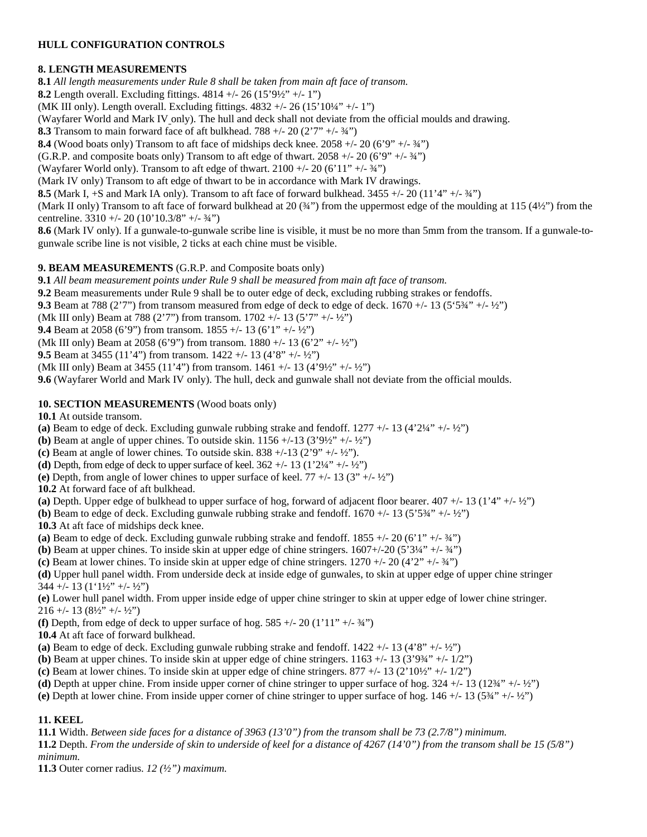#### **HULL CONFIGURATION CONTROLS**

## **8. LENGTH MEASUREMENTS**

**8.1** *All length measurements under Rule 8 shall be taken from main aft face of transom.*

**8.2** Length overall. Excluding fittings. 4814 +/- 26 (15'9½" +/- 1")

(MK III only). Length overall. Excluding fittings.  $4832 + (-26)(15)10^{1/4} + (-1)$ )

(Wayfarer World and Mark IV only). The hull and deck shall not deviate from the official moulds and drawing.

**8.3** Transom to main forward face of aft bulkhead. 788  $+/- 20$  (2'7" $+/- 34$ ")

**8.4** (Wood boats only) Transom to aft face of midships deck knee. 2058 +/- 20 (6'9" +/- 34")

(G.R.P. and composite boats only) Transom to aft edge of thwart. 2058  $+/- 20$  (6'9"  $+/- 34$ ")

(Wayfarer World only). Transom to aft edge of thwart.  $2100 +1 - 20$  (6'11"  $+1 - 34$ ")

(Mark IV only) Transom to aft edge of thwart to be in accordance with Mark IV drawings.

**8.5** (Mark I, +S and Mark IA only). Transom to aft face of forward bulkhead. 3455 +/- 20 (11'4" +/- ¾")

(Mark II only) Transom to aft face of forward bulkhead at 20 (¾") from the uppermost edge of the moulding at 115 (4½") from the centreline.  $3310 + (-20)(10)10.3/8" + (-34")$ 

**8.6** (Mark IV only). If a gunwale-to-gunwale scribe line is visible, it must be no more than 5mm from the transom. If a gunwale-togunwale scribe line is not visible, 2 ticks at each chine must be visible.

#### **9. BEAM MEASUREMENTS** (G.R.P. and Composite boats only)

**9.1** *All beam measurement points under Rule 9 shall be measured from main aft face of transom.*

**9.2** Beam measurements under Rule 9 shall be to outer edge of deck, excluding rubbing strakes or fendoffs.

**9.3** Beam at 788 (2'7") from transom measured from edge of deck to edge of deck.  $1670 + (-13 (5'5\frac{3}{4''} + (-\frac{1}{2}'))$ 

(Mk III only) Beam at 788 (2'7") from transom. 1702 +/- 13 (5'7" +/- ½")

**9.4** Beam at 2058 (6'9") from transom. 1855 +/- 13 (6'1" +/- ½")

(Mk III only) Beam at 2058 (6'9") from transom. 1880 +/- 13 (6'2" +/- $\frac{1}{2}$ ")

**9.5** Beam at 3455 (11'4") from transom. 1422 +/- 13 (4'8" +/- ½")

(Mk III only) Beam at 3455 (11'4") from transom. 1461 +/- 13 (4'9½" +/- ½")

**9.6** (Wayfarer World and Mark IV only). The hull, deck and gunwale shall not deviate from the official moulds.

#### **10. SECTION MEASUREMENTS** (Wood boats only)

**10.1** At outside transom.

- (a) Beam to edge of deck. Excluding gunwale rubbing strake and fendoff.  $1277 + (-13)(4'2'4'' + (-12'')$
- **(b)** Beam at angle of upper chines. To outside skin.  $1156 + (-13)(3'9'2'' + (-1)'2'')$
- **(c)** Beam at angle of lower chines*.* To outside skin. 838 +/-13 (2'9" +/- ½").
- **(d)** Depth, from edge of deck to upper surface of keel.  $362 +113 (1'2\frac{1}{4} +15 \frac{1}{2})$
- **(e)** Depth, from angle of lower chines to upper surface of keel. 77 +/- 13 (3" +/- ½")

**10.2** At forward face of aft bulkhead.

**(a)** Depth. Upper edge of bulkhead to upper surface of hog, forward of adjacent floor bearer. 407 +/- 13 (1'4" +/- ½")

**(b)** Beam to edge of deck. Excluding gunwale rubbing strake and fendoff.  $1670 +113$  (5'534" +/- 1/2")

**10.3** At aft face of midships deck knee.

(a) Beam to edge of deck. Excluding gunwale rubbing strake and fendoff.  $1855 +/- 20$  (6'1"  $+/- 34$ ")

- **(b)** Beam at upper chines. To inside skin at upper edge of chine stringers.  $1607+/-20$  (5'3¼" +/- 3⁄4")
- **(c)** Beam at lower chines. To inside skin at upper edge of chine stringers. 1270 +/- 20 (4'2" +/- ¾")

**(d)** Upper hull panel width. From underside deck at inside edge of gunwales, to skin at upper edge of upper chine stringer 344 +/- 13 (1'1½" +/- ½")

**(e)** Lower hull panel width. From upper inside edge of upper chine stringer to skin at upper edge of lower chine stringer.  $216 + (-13 (8\frac{1}{2})^{\circ} + (-\frac{1}{2})^{\circ})$ 

**(f)** Depth, from edge of deck to upper surface of hog. 585 +/- 20 (1'11" +/- $\frac{3}{4}$ ")

**10.4** At aft face of forward bulkhead.

(a) Beam to edge of deck. Excluding gunwale rubbing strake and fendoff.  $1422 + (-13)(4'8'' + (-12'')$ 

**(b)** Beam at upper chines. To inside skin at upper edge of chine stringers.  $1163 + (-13)(3'94' + (-1/2'')$ 

- **(c)** Beam at lower chines. To inside skin at upper edge of chine stringers. 877 +/- 13 (2'10½" +/- 1/2")
- (d) Depth at upper chine. From inside upper corner of chine stringer to upper surface of hog.  $324 +113 (12\frac{3}{4} +112\frac{1}{2})$
- **(e)** Depth at lower chine. From inside upper corner of chine stringer to upper surface of hog. 146 +/- 13 (5¾" +/- ½")

## **11. KEEL**

**11.1** Width. *Between side faces for a distance of 3963 (13'0") from the transom shall be 73 (2.7/8") minimum.* 

**11.2** Depth. *From the underside of skin to underside of keel for a distance of 4267 (14'0") from the transom shall be 15 (5/8") minimum.* 

**11.3** Outer corner radius. *12 (½") maximum.*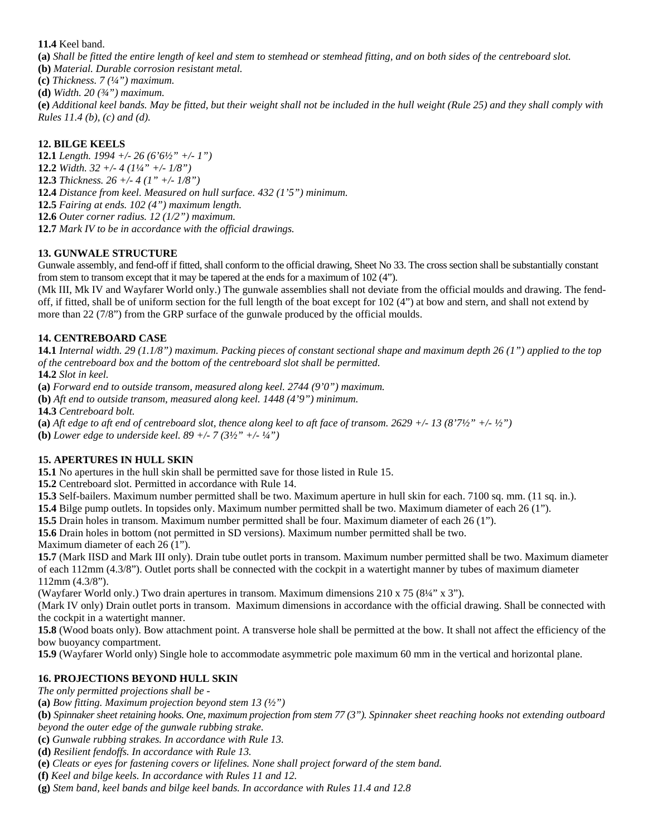#### **11.4** Keel band.

**(a)** *Shall be fitted the entire length of keel and stem to stemhead or stemhead fitting, and on both sides of the centreboard slot.* 

**(b)** *Material. Durable corrosion resistant metal.*

**(c)** *Thickness. 7 (¼") maximum.*

**(d)** *Width. 20 (¾") maximum.*

**(e)** *Additional keel bands. May be fitted, but their weight shall not be included in the hull weight (Rule 25) and they shall comply with Rules 11.4 (b), (c) and (d).*

## **12. BILGE KEELS**

**12.1** *Length. 1994 +/- 26 (6'6½" +/- 1")*

**12.2** *Width. 32 +/- 4 (1¼" +/- 1/8")*

**12.3** *Thickness. 26 +/- 4 (1" +/- 1/8")*

**12.4** *Distance from keel. Measured on hull surface. 432 (1'5") minimum.*

**12.5** *Fairing at ends. 102 (4") maximum length.*

**12.6** *Outer corner radius. 12 (1/2") maximum.* 

**12.7** *Mark IV to be in accordance with the official drawings.*

## **13. GUNWALE STRUCTURE**

Gunwale assembly, and fend-off if fitted, shall conform to the official drawing, Sheet No 33. The cross section shall be substantially constant from stem to transom except that it may be tapered at the ends for a maximum of 102 (4").

(Mk III, Mk IV and Wayfarer World only.) The gunwale assemblies shall not deviate from the official moulds and drawing. The fendoff, if fitted, shall be of uniform section for the full length of the boat except for 102 (4") at bow and stern, and shall not extend by more than 22 (7/8") from the GRP surface of the gunwale produced by the official moulds.

## **14. CENTREBOARD CASE**

**14.1** *Internal width. 29 (1.1/8") maximum. Packing pieces of constant sectional shape and maximum depth 26 (1") applied to the top of the centreboard box and the bottom of the centreboard slot shall be permitted.*

**14.2** *Slot in keel.* 

**(a)** *Forward end to outside transom, measured along keel. 2744 (9'0") maximum.* 

**(b)** *Aft end to outside transom, measured along keel. 1448 (4'9") minimum.* 

**14.3** *Centreboard bolt.* 

**(a)** *Aft edge to aft end of centreboard slot, thence along keel to aft face of transom. 2629 +/- 13 (8'7½" +/- ½")* 

**(b)** *Lower edge to underside keel. 89 +/- 7 (3½" +/- ¼")* 

## **15. APERTURES IN HULL SKIN**

**15.1** No apertures in the hull skin shall be permitted save for those listed in Rule 15.

**15.2** Centreboard slot. Permitted in accordance with Rule 14.

**15.3** Self-bailers. Maximum number permitted shall be two. Maximum aperture in hull skin for each. 7100 sq. mm. (11 sq. in.).

**15.4** Bilge pump outlets. In topsides only. Maximum number permitted shall be two. Maximum diameter of each 26 (1").

**15.5** Drain holes in transom. Maximum number permitted shall be four. Maximum diameter of each 26 (1").

**15.6** Drain holes in bottom (not permitted in SD versions). Maximum number permitted shall be two.

Maximum diameter of each 26 (1").

**15.7** (Mark IISD and Mark III only). Drain tube outlet ports in transom. Maximum number permitted shall be two. Maximum diameter of each 112mm (4.3/8"). Outlet ports shall be connected with the cockpit in a watertight manner by tubes of maximum diameter 112mm (4.3/8").

(Wayfarer World only.) Two drain apertures in transom. Maximum dimensions 210 x 75 (8¼" x 3").

(Mark IV only) Drain outlet ports in transom. Maximum dimensions in accordance with the official drawing. Shall be connected with the cockpit in a watertight manner.

**15.8** (Wood boats only). Bow attachment point. A transverse hole shall be permitted at the bow. It shall not affect the efficiency of the bow buoyancy compartment.

**15.9** (Wayfarer World only) Single hole to accommodate asymmetric pole maximum 60 mm in the vertical and horizontal plane.

# **16. PROJECTIONS BEYOND HULL SKIN**

*The only permitted projections shall be -*

**(a)** *Bow fitting. Maximum projection beyond stem 13 (½")*

**(b)** *Spinnaker sheet retaining hooks. One, maximum projection from stem 77 (3"). Spinnaker sheet reaching hooks not extending outboard beyond the outer edge of the gunwale rubbing strake.* 

**(c)** *Gunwale rubbing strakes. In accordance with Rule 13.* 

**(d)** *Resilient fendoffs. In accordance with Rule 13.*

**(e)** *Cleats or eyes for fastening covers or lifelines. None shall project forward of the stem band.*

**(f)** *Keel and bilge keels. In accordance with Rules 11 and 12.*

**(g)** *Stem band, keel bands and bilge keel bands. In accordance with Rules 11.4 and 12.8*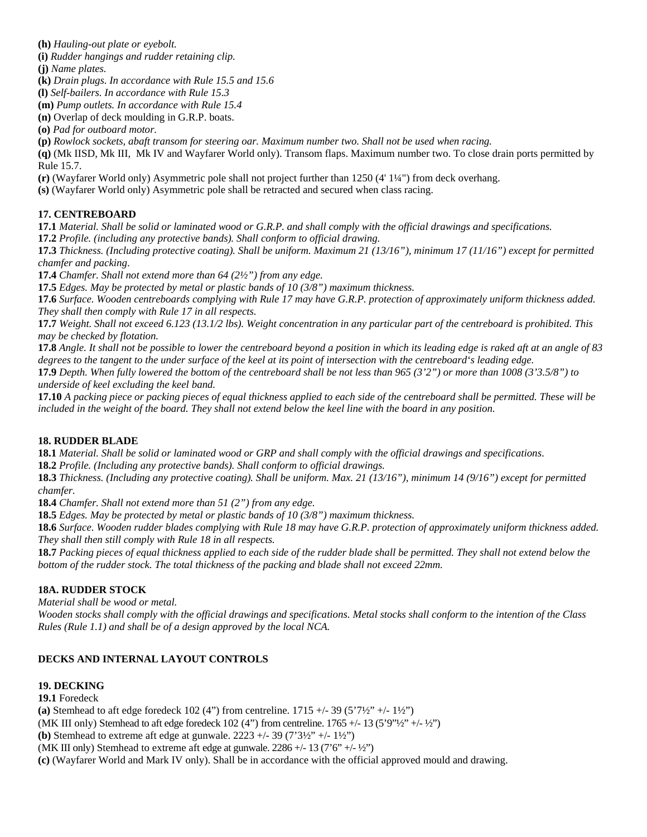**(h)** *Hauling-out plate or eyebolt.*

**(i)** *Rudder hangings and rudder retaining clip.*

**(j)** *Name plates.* 

**(k)** *Drain plugs. In accordance with Rule 15.5 and 15.6* 

**(l)** *Self-bailers. In accordance with Rule 15.3*

**(m)** *Pump outlets. In accordance with Rule 15.4*

**(n)** Overlap of deck moulding in G.R.P. boats.

**(o)** *Pad for outboard motor.*

**(p)** *Rowlock sockets, abaft transom for steering oar. Maximum number two. Shall not be used when racing.*

**(q)** (Mk IISD, Mk III, Mk IV and Wayfarer World only). Transom flaps. Maximum number two. To close drain ports permitted by Rule 15.7.

**(r)** (Wayfarer World only) Asymmetric pole shall not project further than 1250 (4' 1¼") from deck overhang.

**(s)** (Wayfarer World only) Asymmetric pole shall be retracted and secured when class racing.

## **17. CENTREBOARD**

**17.1** *Material. Shall be solid or laminated wood or G.R.P. and shall comply with the official drawings and specifications.* **17.2** *Profile. (including any protective bands). Shall conform to official drawing.*

**17.3** *Thickness. (Including protective coating). Shall be uniform. Maximum 21 (13/16"), minimum 17 (11/16") except for permitted chamfer and packing*.

**17.4** *Chamfer. Shall not extend more than 64 (2½") from any edge.*

**17.5** *Edges. May be protected by metal or plastic bands of 10 (3/8") maximum thickness.*

**17.6** *Surface. Wooden centreboards complying with Rule 17 may have G.R.P. protection of approximately uniform thickness added. They shall then comply with Rule 17 in all respects.*

**17.7** *Weight. Shall not exceed 6.123 (13.1/2 lbs). Weight concentration in any particular part of the centreboard is prohibited. This may be checked by flotation.*

**17.8** *Angle. It shall not be possible to lower the centreboard beyond a position in which its leading edge is raked aft at an angle of 83 degrees to the tangent to the under surface of the keel at its point of intersection with the centreboard's leading edge.* 

**17.9** *Depth. When fully lowered the bottom of the centreboard shall be not less than 965 (3'2") or more than 1008 (3'3.5/8") to underside of keel excluding the keel band.* 

**17.10** *A packing piece or packing pieces of equal thickness applied to each side of the centreboard shall be permitted. These will be included in the weight of the board. They shall not extend below the keel line with the board in any position.*

## **18. RUDDER BLADE**

**18.1** *Material. Shall be solid or laminated wood or GRP and shall comply with the official drawings and specifications*.

**18.2** *Profile. (Including any protective bands). Shall conform to official drawings.*

**18.3** *Thickness. (Including any protective coating). Shall be uniform. Max. 21 (13/16"), minimum 14 (9/16") except for permitted chamfer.*

**18.4** *Chamfer. Shall not extend more than 51 (2") from any edge.*

**18.5** *Edges. May be protected by metal or plastic bands of 10 (3/8") maximum thickness.*

**18.6** *Surface. Wooden rudder blades complying with Rule 18 may have G.R.P. protection of approximately uniform thickness added. They shall then still comply with Rule 18 in all respects.* 

**18.7** *Packing pieces of equal thickness applied to each side of the rudder blade shall be permitted. They shall not extend below the bottom of the rudder stock. The total thickness of the packing and blade shall not exceed 22mm.*

## **18A. RUDDER STOCK**

*Material shall be wood or metal.* 

*Wooden stocks shall comply with the official drawings and specifications. Metal stocks shall conform to the intention of the Class Rules (Rule 1.1) and shall be of a design approved by the local NCA.*

## **DECKS AND INTERNAL LAYOUT CONTROLS**

## **19. DECKING**

**19.1** Foredeck

**(a)** Stemhead to aft edge foredeck  $102 (4")$  from centreline.  $1715 + (-39 (5'7')')$  +/-  $1\frac{1}{2}$ )

(MK III only) Stemhead to aft edge foredeck 102 (4") from centreline.  $1765 +/- 13$  (5'9" $\frac{1}{2}$ "+/- $\frac{1}{2}$ ")

**(b)** Stemhead to extreme aft edge at gunwale. 2223 +/- 39 (7'3½" +/- 1½")

(MK III only) Stemhead to extreme aft edge at gunwale.  $2286 + (-13 (7'6'' + (-12'')$ 

**(c)** (Wayfarer World and Mark IV only). Shall be in accordance with the official approved mould and drawing.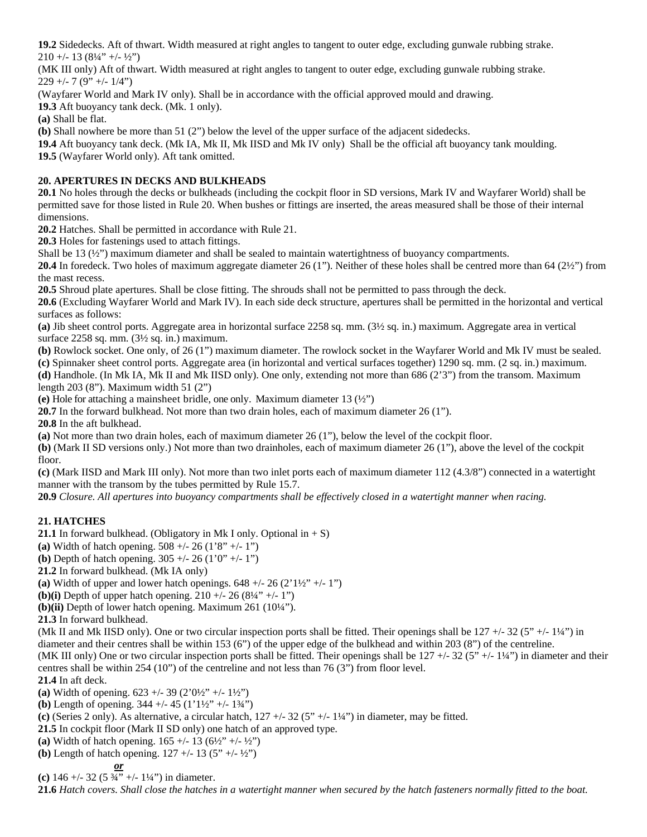**19.2** Sidedecks. Aft of thwart. Width measured at right angles to tangent to outer edge, excluding gunwale rubbing strake. 210 +/- 13  $(8\frac{1}{4}$ " +/-  $\frac{1}{2}$ ")

(MK III only) Aft of thwart. Width measured at right angles to tangent to outer edge, excluding gunwale rubbing strake.  $229 +/- 7 (9" +/- 1/4")$ 

(Wayfarer World and Mark IV only). Shall be in accordance with the official approved mould and drawing.

**19.3** Aft buoyancy tank deck. (Mk. 1 only).

**(a)** Shall be flat.

**(b)** Shall nowhere be more than 51 (2") below the level of the upper surface of the adjacent sidedecks.

**19.4** Aft buoyancy tank deck. (Mk IA, Mk II, Mk IISD and Mk IV only) Shall be the official aft buoyancy tank moulding.

**19.5** (Wayfarer World only). Aft tank omitted.

## **20. APERTURES IN DECKS AND BULKHEADS**

**20.1** No holes through the decks or bulkheads (including the cockpit floor in SD versions, Mark IV and Wayfarer World) shall be permitted save for those listed in Rule 20. When bushes or fittings are inserted, the areas measured shall be those of their internal dimensions.

**20.2** Hatches. Shall be permitted in accordance with Rule 21.

**20.3** Holes for fastenings used to attach fittings.

Shall be 13 (½") maximum diameter and shall be sealed to maintain watertightness of buoyancy compartments.

**20.4** In foredeck. Two holes of maximum aggregate diameter 26 (1"). Neither of these holes shall be centred more than 64 (2½") from the mast recess.

**20.5** Shroud plate apertures. Shall be close fitting. The shrouds shall not be permitted to pass through the deck.

**20.6** (Excluding Wayfarer World and Mark IV). In each side deck structure, apertures shall be permitted in the horizontal and vertical surfaces as follows:

**(a)** Jib sheet control ports. Aggregate area in horizontal surface 2258 sq. mm. (3½ sq. in.) maximum. Aggregate area in vertical surface 2258 sq. mm. (3½ sq. in.) maximum.

**(b)** Rowlock socket. One only, of 26 (1") maximum diameter. The rowlock socket in the Wayfarer World and Mk IV must be sealed. **(c)** Spinnaker sheet control ports. Aggregate area (in horizontal and vertical surfaces together) 1290 sq. mm. (2 sq. in.) maximum.

**(d)** Handhole. (In Mk IA, Mk II and Mk IISD only). One only, extending not more than 686 (2'3") from the transom. Maximum length 203 (8"). Maximum width 51 (2")

**(e)** Hole for attaching a mainsheet bridle, one only. Maximum diameter 13 (½")

**20.7** In the forward bulkhead. Not more than two drain holes, each of maximum diameter 26 (1").

**20.8** In the aft bulkhead.

**(a)** Not more than two drain holes, each of maximum diameter 26 (1"), below the level of the cockpit floor.

**(b)** (Mark II SD versions only.) Not more than two drainholes, each of maximum diameter 26 (1"), above the level of the cockpit floor.

**(c)** (Mark IISD and Mark III only). Not more than two inlet ports each of maximum diameter 112 (4.3/8") connected in a watertight manner with the transom by the tubes permitted by Rule 15.7.

**20.9** *Closure. All apertures into buoyancy compartments shall be effectively closed in a watertight manner when racing.* 

## **21. HATCHES**

**21.1** In forward bulkhead. (Obligatory in Mk I only. Optional in  $+ S$ )

**(a)** Width of hatch opening. 508 +/- 26 (1'8" +/- 1")

**(b)** Depth of hatch opening. 305 +/- 26 (1'0" +/- 1")

**21.2** In forward bulkhead. (Mk IA only)

**(a)** Width of upper and lower hatch openings.  $648 + (-26 (2'1\frac{1}{2})^2 + (-1''))$ 

**(b)(i)** Depth of upper hatch opening.  $210 +1.26 (8\frac{1}{4} +1.1)$ 

**(b)(ii)** Depth of lower hatch opening. Maximum 261 (10¼").

**21.3** In forward bulkhead.

(Mk II and Mk IISD only). One or two circular inspection ports shall be fitted. Their openings shall be  $127 + (-32 (5" + (-1<sup>1</sup>/<sub>4</sub>))$  in diameter and their centres shall be within 153 (6") of the upper edge of the bulkhead and within 203 (8") of the centreline.

(MK III only) One or two circular inspection ports shall be fitted. Their openings shall be  $127 +132$  (5"  $+14$ ") in diameter and their centres shall be within 254 (10") of the centreline and not less than 76 (3") from floor level.

**21.4** In aft deck.

**(a)** Width of opening. 623 +/- 39 (2'0½" +/- 1½")

**(b)** Length of opening.  $344 + (-45) (1')^{1/2} + (-1)^{3/2}$ 

**(c)** (Series 2 only). As alternative, a circular hatch, 127 +/- 32 (5" +/- 1¼") in diameter, may be fitted.

**21.5** In cockpit floor (Mark II SD only) one hatch of an approved type.

(a) Width of hatch opening.  $165 + (-13 (6\frac{1}{2})^2 + (-1\frac{1}{2})^2)$ 

**(b)** Length of hatch opening.  $127 + (-13 (5" + (-12''))$ 

 *or* **(c)**  $146 + (-32(5\frac{3}{4}) + (-1\frac{1}{4}))$  in diameter.

**21.6** *Hatch covers. Shall close the hatches in a watertight manner when secured by the hatch fasteners normally fitted to the boat.*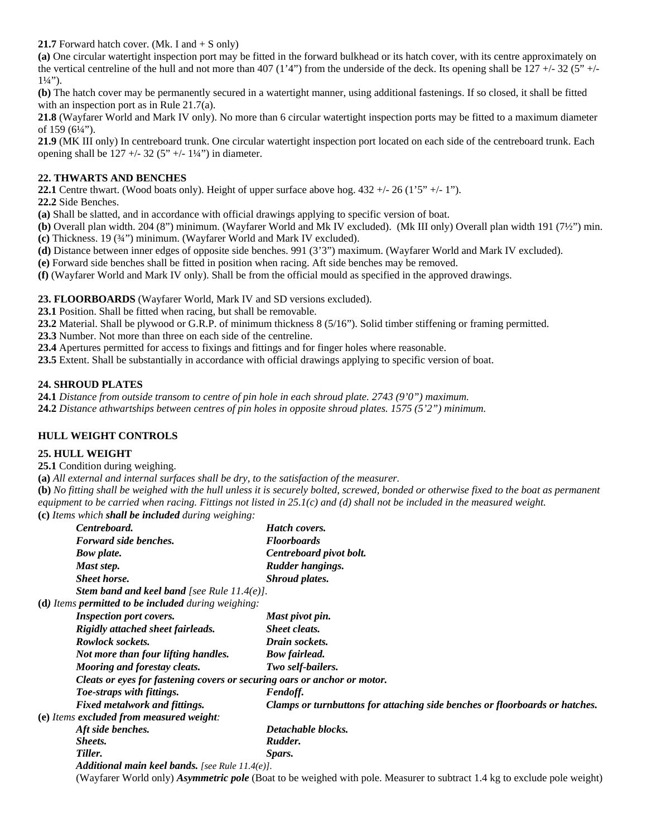**21.7** Forward hatch cover. (Mk. I and  $+ S$  only)

**(a)** One circular watertight inspection port may be fitted in the forward bulkhead or its hatch cover, with its centre approximately on the vertical centreline of the hull and not more than 407 (1'4") from the underside of the deck. Its opening shall be  $127 +132 (5" +1)$  $1\frac{1}{4}$ ").

**(b)** The hatch cover may be permanently secured in a watertight manner, using additional fastenings. If so closed, it shall be fitted with an inspection port as in Rule 21.7(a).

**21.8** (Wayfarer World and Mark IV only). No more than 6 circular watertight inspection ports may be fitted to a maximum diameter of 159 (6¼").

**21.9** (MK III only) In centreboard trunk. One circular watertight inspection port located on each side of the centreboard trunk. Each opening shall be  $127 + (-32 (5" + (-14''))$  in diameter.

## **22. THWARTS AND BENCHES**

**22.1** Centre thwart. (Wood boats only). Height of upper surface above hog. 432 +/- 26 (1'5" +/- 1").

**22.2** Side Benches.

**(a)** Shall be slatted, and in accordance with official drawings applying to specific version of boat.

**(b)** Overall plan width. 204 (8") minimum. (Wayfarer World and Mk IV excluded). (Mk III only) Overall plan width 191 (7½") min.

**(c)** Thickness. 19 (¾") minimum. (Wayfarer World and Mark IV excluded).

**(d)** Distance between inner edges of opposite side benches. 991 (3'3") maximum. (Wayfarer World and Mark IV excluded).

**(e)** Forward side benches shall be fitted in position when racing. Aft side benches may be removed.

**(f)** (Wayfarer World and Mark IV only). Shall be from the official mould as specified in the approved drawings.

#### **23. FLOORBOARDS** (Wayfarer World, Mark IV and SD versions excluded).

**23.1** Position. Shall be fitted when racing, but shall be removable.

**23.2** Material. Shall be plywood or G.R.P. of minimum thickness 8 (5/16"). Solid timber stiffening or framing permitted.

**23.3** Number. Not more than three on each side of the centreline.

**23.4** Apertures permitted for access to fixings and fittings and for finger holes where reasonable.

**23.5** Extent. Shall be substantially in accordance with official drawings applying to specific version of boat.

#### **24. SHROUD PLATES**

**24.1** *Distance from outside transom to centre of pin hole in each shroud plate. 2743 (9'0") maximum.*

**24.2** *Distance athwartships between centres of pin holes in opposite shroud plates. 1575 (5'2") minimum.* 

## **HULL WEIGHT CONTROLS**

## **25. HULL WEIGHT**

**25.1** Condition during weighing.

**(a)** *All external and internal surfaces shall be dry, to the satisfaction of the measurer.*

**(b)** *No fitting shall be weighed with the hull unless it is securely bolted, screwed, bonded or otherwise fixed to the boat as permanent equipment to be carried when racing. Fittings not listed in 25.1(c) and (d) shall not be included in the measured weight.* 

**(c)** *Items which shall be included during weighing:* 

| $\mathcal{L}$ receives there is seen to be interested and the $\mathcal{L}$ there $\mathcal{L}$ . |                                                                             |
|---------------------------------------------------------------------------------------------------|-----------------------------------------------------------------------------|
| Centreboard.                                                                                      | Hatch covers.                                                               |
| Forward side benches.                                                                             | <b>Floorboards</b>                                                          |
| <b>Bow plate.</b>                                                                                 | Centreboard pivot bolt.                                                     |
| Mast step.                                                                                        | Rudder hangings.                                                            |
| <b>Sheet horse.</b>                                                                               | <b>Shroud plates.</b>                                                       |
| <b>Stem band and keel band</b> [see Rule $11.4(e)$ ].                                             |                                                                             |
| ( <b>d</b> ) Items <b>permitted to be included</b> during weighing:                               |                                                                             |
| <b>Inspection port covers.</b>                                                                    | Mast pivot pin.                                                             |
| Rigidly attached sheet fairleads.                                                                 | <b>Sheet cleats.</b>                                                        |
| Rowlock sockets.                                                                                  | Drain sockets.                                                              |
| Not more than four lifting handles.                                                               | <b>Bow fairlead.</b>                                                        |
| Mooring and forestay cleats.                                                                      | Two self-bailers.                                                           |
| Cleats or eyes for fastening covers or securing oars or anchor or motor.                          |                                                                             |
| Toe-straps with fittings.                                                                         | Fendoff.                                                                    |
| <b>Fixed metalwork and fittings.</b>                                                              | Clamps or turnbuttons for attaching side benches or floorboards or hatches. |
| (e) Items excluded from measured weight:                                                          |                                                                             |
| Aft side benches.                                                                                 | Detachable blocks.                                                          |
| Sheets.                                                                                           | Rudder.                                                                     |
| Tiller.                                                                                           | Spars.                                                                      |
| Additional main keel bands. [see Rule $11.4(e)$ ].                                                |                                                                             |
|                                                                                                   |                                                                             |

(Wayfarer World only) *Asymmetric pole* (Boat to be weighed with pole. Measurer to subtract 1.4 kg to exclude pole weight)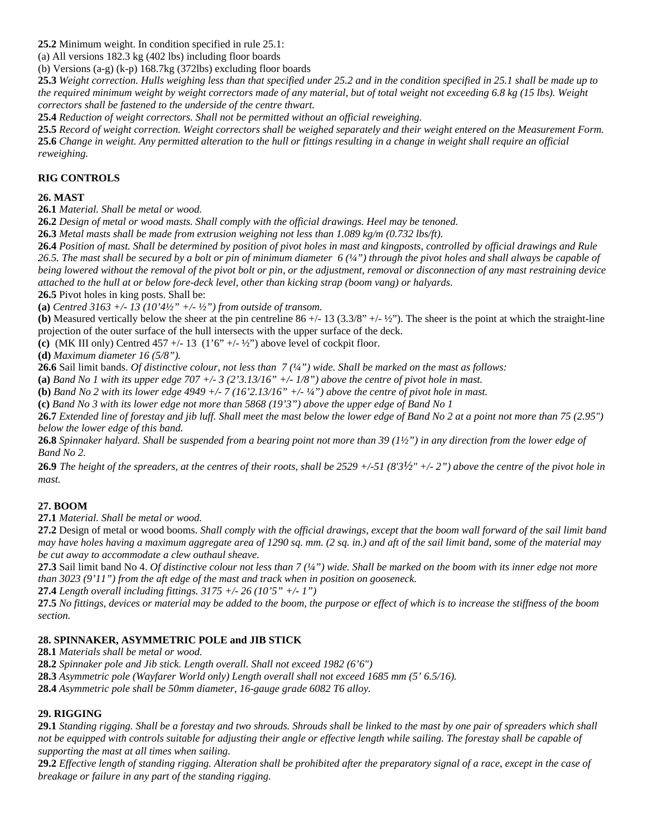**25.2** Minimum weight. In condition specified in rule 25.1:

(a) All versions 182.3 kg (402 lbs) including floor boards

(b) Versions (a-g) (k-p) 168.7kg (372lbs) excluding floor boards

**25.3** *Weight correction. Hulls weighing less than that specified under 25.2 and in the condition specified in 25.1 shall be made up to the required minimum weight by weight correctors made of any material, but of total weight not exceeding 6.8 kg (15 lbs). Weight correctors shall be fastened to the underside of the centre thwart.*

**25.4** *Reduction of weight correctors. Shall not be permitted without an official reweighing.* 

**25.5** *Record of weight correction. Weight correctors shall be weighed separately and their weight entered on the Measurement Form.* **25.6** *Change in weight. Any permitted alteration to the hull or fittings resulting in a change in weight shall require an official reweighing.*

## **RIG CONTROLS**

## **26. MAST**

**26.1** *Material. Shall be metal or wood.*

**26.2** *Design of metal or wood masts. Shall comply with the official drawings. Heel may be tenoned.* 

**26.3** *Metal masts shall be made from extrusion weighing not less than 1.089 kg/m (0.732 lbs/ft).* 

**26.4** *Position of mast. Shall be determined by position of pivot holes in mast and kingposts, controlled by official drawings and Rule 26.5. The mast shall be secured by a bolt or pin of minimum diameter 6 (¼") through the pivot holes and shall always be capable of being lowered without the removal of the pivot bolt or pin, or the adjustment, removal or disconnection of any mast restraining device attached to the hull at or below fore-deck level, other than kicking strap (boom vang) or halyards.* 

**26.5** Pivot holes in king posts. Shall be:

**(a)** *Centred 3163 +/- 13 (10'4½" +/- ½") from outside of transom.*

**(b)** Measured vertically below the sheer at the pin centreline 86 +/- 13 (3.3/8" +/- ½"). The sheer is the point at which the straight-line projection of the outer surface of the hull intersects with the upper surface of the deck.

(c) (MK III only) Centred  $457 +/- 13$  ( $1'6'' +/- ½''$ ) above level of cockpit floor.

**(d)** *Maximum diameter 16 (5/8").* 

**26.6** Sail limit bands. *Of distinctive colour, not less than 7 (¼") wide. Shall be marked on the mast as follows:* 

**(a)** *Band No 1 with its upper edge 707 +/- 3 (2'3.13/16" +/- 1/8") above the centre of pivot hole in mast.*

**(b)** *Band No 2 with its lower edge 4949 +/- 7 (16'2.13/16" +/- ¼") above the centre of pivot hole in mast.*

**(c)** *Band No 3 with its lower edge not more than 5868 (19'3") above the upper edge of Band No 1*

**26.7** *Extended line of forestay and jib luff. Shall meet the mast below the lower edge of Band No 2 at a point not more than 75 (2.95") below the lower edge of this band.* 

**26.8** *Spinnaker halyard. Shall be suspended from a bearing point not more than 39 (1½") in any direction from the lower edge of Band No 2.* 

**26.9** *The height of the spreaders, at the centres of their roots, shall be 2529 +/-51 (8'3½" +/- 2") above the centre of the pivot hole in mast.*

## **27. BOOM**

**27.1** *Material. Shall be metal or wood.* 

**27.2** Design of metal or wood booms. *Shall comply with the official drawings, except that the boom wall forward of the sail limit band may have holes having a maximum aggregate area of 1290 sq. mm. (2 sq. in.) and aft of the sail limit band, some of the material may be cut away to accommodate a clew outhaul sheave.* 

**27.3** Sail limit band No 4. *Of distinctive colour not less than 7 (¼") wide. Shall be marked on the boom with its inner edge not more than 3023 (9'11") from the aft edge of the mast and track when in position on gooseneck.* 

**27.4** *Length overall including fittings. 3175 +/- 26 (10'5" +/- 1")* 

**27.5** *No fittings, devices or material may be added to the boom, the purpose or effect of which is to increase the stiffness of the boom section.* 

## **28. SPINNAKER, ASYMMETRIC POLE and JIB STICK**

**28.1** *Materials shall be metal or wood.*

**28.2** *Spinnaker pole and Jib stick. Length overall. Shall not exceed 1982 (6'6")*

**28.3** *Asymmetric pole (Wayfarer World only) Length overall shall not exceed 1685 mm (5' 6.5/16).*

**28.4** *Asymmetric pole shall be 50mm diameter, 16-gauge grade 6082 T6 alloy.*

## **29. RIGGING**

**29.1** *Standing rigging. Shall be a forestay and two shrouds. Shrouds shall be linked to the mast by one pair of spreaders which shall not be equipped with controls suitable for adjusting their angle or effective length while sailing. The forestay shall be capable of supporting the mast at all times when sailing.* 

**29.2** *Effective length of standing rigging. Alteration shall be prohibited after the preparatory signal of a race, except in the case of breakage or failure in any part of the standing rigging.*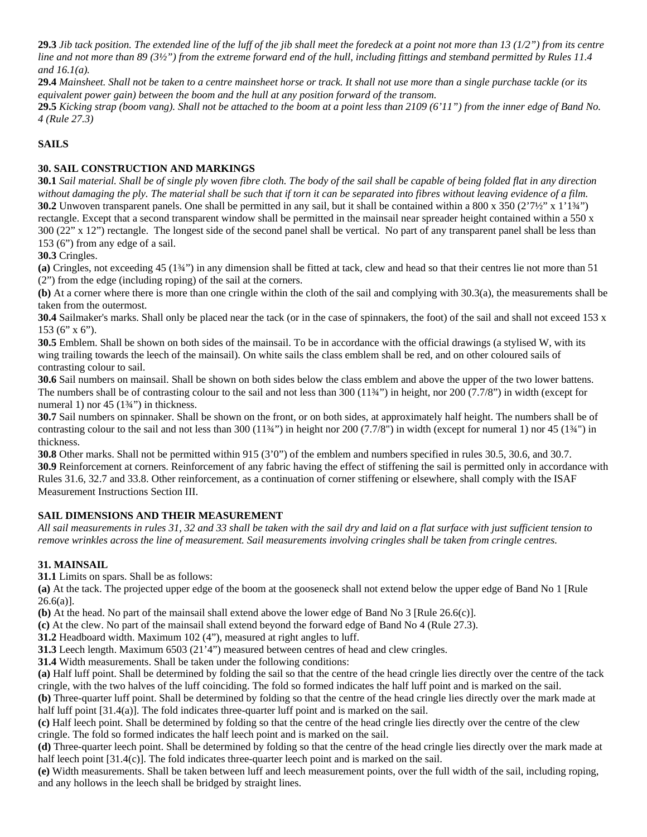**29.3** *Jib tack position. The extended line of the luff of the jib shall meet the foredeck at a point not more than 13 (1/2") from its centre line and not more than 89 (3½") from the extreme forward end of the hull, including fittings and stemband permitted by Rules 11.4 and 16.1(a).*

**29.4** *Mainsheet. Shall not be taken to a centre mainsheet horse or track. It shall not use more than a single purchase tackle (or its equivalent power gain) between the boom and the hull at any position forward of the transom.* 

**29.5** *Kicking strap (boom vang). Shall not be attached to the boom at a point less than 2109 (6'11") from the inner edge of Band No. 4 (Rule 27.3)*

#### **SAILS**

#### **30. SAIL CONSTRUCTION AND MARKINGS**

**30.1** *Sail material. Shall be of single ply woven fibre cloth. The body of the sail shall be capable of being folded flat in any direction without damaging the ply. The material shall be such that if torn it can be separated into fibres without leaving evidence of a film.* **30.2** Unwoven transparent panels. One shall be permitted in any sail, but it shall be contained within a 800 x 350 (2'7½" x 1'1¼") rectangle. Except that a second transparent window shall be permitted in the mainsail near spreader height contained within a 550 x 300 (22" x 12") rectangle. The longest side of the second panel shall be vertical. No part of any transparent panel shall be less than 153 (6") from any edge of a sail.

**30.3** Cringles.

**(a)** Cringles, not exceeding 45 (1¾") in any dimension shall be fitted at tack, clew and head so that their centres lie not more than 51 (2") from the edge (including roping) of the sail at the corners.

**(b)** At a corner where there is more than one cringle within the cloth of the sail and complying with 30.3(a), the measurements shall be taken from the outermost.

**30.4** Sailmaker's marks. Shall only be placed near the tack (or in the case of spinnakers, the foot) of the sail and shall not exceed 153 x 153 (6" x 6").

**30.5** Emblem. Shall be shown on both sides of the mainsail. To be in accordance with the official drawings (a stylised W, with its wing trailing towards the leech of the mainsail). On white sails the class emblem shall be red, and on other coloured sails of contrasting colour to sail.

**30.6** Sail numbers on mainsail. Shall be shown on both sides below the class emblem and above the upper of the two lower battens. The numbers shall be of contrasting colour to the sail and not less than 300 (11¾") in height, nor 200 (7.7/8") in width (except for numeral 1) nor 45 (1<sup>3</sup>⁄4<sup>\*</sup>) in thickness.

**30.7** Sail numbers on spinnaker. Shall be shown on the front, or on both sides, at approximately half height. The numbers shall be of contrasting colour to the sail and not less than 300  $(1144)$  in height nor 200  $(7.7/8)$  in width (except for numeral 1) nor 45  $(144)$  in thickness.

**30.8** Other marks. Shall not be permitted within 915 (3'0") of the emblem and numbers specified in rules 30.5, 30.6, and 30.7. **30.9** Reinforcement at corners. Reinforcement of any fabric having the effect of stiffening the sail is permitted only in accordance with Rules 31.6, 32.7 and 33.8. Other reinforcement, as a continuation of corner stiffening or elsewhere, shall comply with the ISAF Measurement Instructions Section III.

#### **SAIL DIMENSIONS AND THEIR MEASUREMENT**

*All sail measurements in rules 31, 32 and 33 shall be taken with the sail dry and laid on a flat surface with just sufficient tension to remove wrinkles across the line of measurement. Sail measurements involving cringles shall be taken from cringle centres.* 

#### **31. MAINSAIL**

**31.1** Limits on spars. Shall be as follows:

**(a)** At the tack. The projected upper edge of the boom at the gooseneck shall not extend below the upper edge of Band No 1 [Rule  $26.6(a)$ ].

**(b)** At the head. No part of the mainsail shall extend above the lower edge of Band No 3 [Rule 26.6(c)].

**(c)** At the clew. No part of the mainsail shall extend beyond the forward edge of Band No 4 (Rule 27.3).

**31.2** Headboard width. Maximum 102 (4"), measured at right angles to luff.

**31.3** Leech length. Maximum 6503 (21'4") measured between centres of head and clew cringles.

**31.4** Width measurements. Shall be taken under the following conditions:

**(a)** Half luff point. Shall be determined by folding the sail so that the centre of the head cringle lies directly over the centre of the tack cringle, with the two halves of the luff coinciding. The fold so formed indicates the half luff point and is marked on the sail.

**(b)** Three-quarter luff point. Shall be determined by folding so that the centre of the head cringle lies directly over the mark made at half luff point [31.4(a)]. The fold indicates three-quarter luff point and is marked on the sail.

**(c)** Half leech point. Shall be determined by folding so that the centre of the head cringle lies directly over the centre of the clew cringle. The fold so formed indicates the half leech point and is marked on the sail.

**(d)** Three-quarter leech point. Shall be determined by folding so that the centre of the head cringle lies directly over the mark made at half leech point [31.4(c)]. The fold indicates three-quarter leech point and is marked on the sail.

**(e)** Width measurements. Shall be taken between luff and leech measurement points, over the full width of the sail, including roping, and any hollows in the leech shall be bridged by straight lines.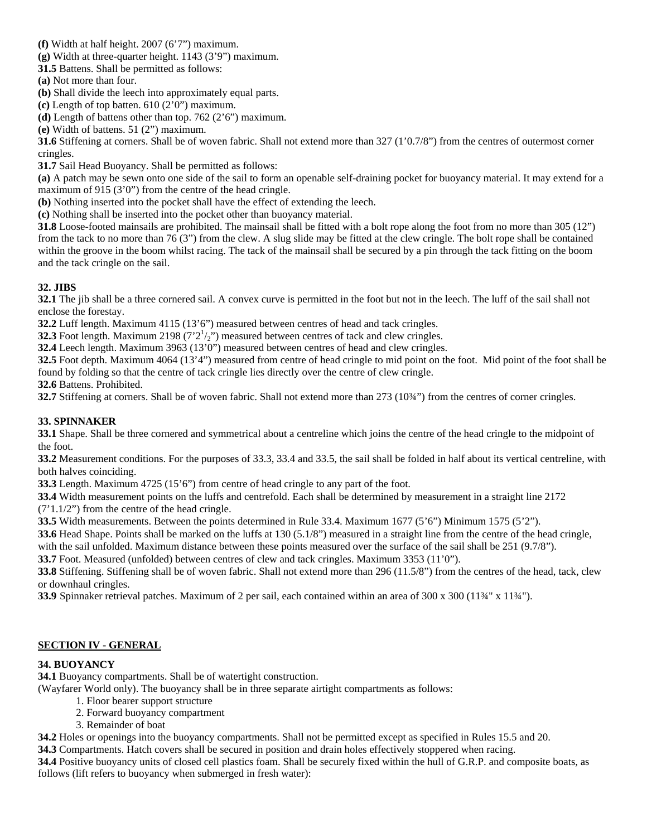- **(f)** Width at half height. 2007 (6'7") maximum.
- **(g)** Width at three-quarter height. 1143 (3'9") maximum.
- **31.5** Battens. Shall be permitted as follows:
- **(a)** Not more than four.
- **(b)** Shall divide the leech into approximately equal parts.
- **(c)** Length of top batten. 610 (2'0") maximum.
- **(d)** Length of battens other than top. 762 (2'6") maximum.
- **(e)** Width of battens. 51 (2") maximum.

**31.6** Stiffening at corners. Shall be of woven fabric. Shall not extend more than 327 (1'0.7/8") from the centres of outermost corner cringles.

**31.7** Sail Head Buoyancy. Shall be permitted as follows:

**(a)** A patch may be sewn onto one side of the sail to form an openable self-draining pocket for buoyancy material. It may extend for a maximum of 915 (3'0") from the centre of the head cringle.

**(b)** Nothing inserted into the pocket shall have the effect of extending the leech.

**(c)** Nothing shall be inserted into the pocket other than buoyancy material.

**31.8** Loose-footed mainsails are prohibited. The mainsail shall be fitted with a bolt rope along the foot from no more than 305 (12") from the tack to no more than 76 (3") from the clew. A slug slide may be fitted at the clew cringle. The bolt rope shall be contained within the groove in the boom whilst racing. The tack of the mainsail shall be secured by a pin through the tack fitting on the boom and the tack cringle on the sail.

## **32. JIBS**

**32.1** The jib shall be a three cornered sail. A convex curve is permitted in the foot but not in the leech. The luff of the sail shall not enclose the forestay.

**32.2** Luff length. Maximum 4115 (13'6") measured between centres of head and tack cringles.

**32.3** Foot length. Maximum 2198  $(7'2^{\frac{1}{2}})'$  measured between centres of tack and clew cringles.

**32.4** Leech length. Maximum 3963 (13'0") measured between centres of head and clew cringles.

**32.5** Foot depth. Maximum 4064 (13'4") measured from centre of head cringle to mid point on the foot. Mid point of the foot shall be found by folding so that the centre of tack cringle lies directly over the centre of clew cringle.

**32.6** Battens. Prohibited.

**32.7** Stiffening at corners. Shall be of woven fabric. Shall not extend more than 273 (10¾") from the centres of corner cringles.

## **33. SPINNAKER**

**33.1** Shape. Shall be three cornered and symmetrical about a centreline which joins the centre of the head cringle to the midpoint of the foot.

**33.2** Measurement conditions. For the purposes of 33.3, 33.4 and 33.5, the sail shall be folded in half about its vertical centreline, with both halves coinciding.

**33.3** Length. Maximum 4725 (15'6") from centre of head cringle to any part of the foot.

**33.4** Width measurement points on the luffs and centrefold. Each shall be determined by measurement in a straight line 2172 (7'1.1/2") from the centre of the head cringle.

**33.5** Width measurements. Between the points determined in Rule 33.4. Maximum 1677 (5'6") Minimum 1575 (5'2").

**33.6** Head Shape. Points shall be marked on the luffs at 130 (5.1/8") measured in a straight line from the centre of the head cringle,

with the sail unfolded. Maximum distance between these points measured over the surface of the sail shall be 251 (9.7/8").

**33.7** Foot. Measured (unfolded) between centres of clew and tack cringles. Maximum 3353 (11'0").

**33.8** Stiffening. Stiffening shall be of woven fabric. Shall not extend more than 296 (11.5/8") from the centres of the head, tack, clew or downhaul cringles.

**33.9** Spinnaker retrieval patches. Maximum of 2 per sail, each contained within an area of 300 x 300 (11¾" x 11¾").

## **SECTION IV - GENERAL**

## **34. BUOYANCY**

**34.1** Buoyancy compartments. Shall be of watertight construction.

(Wayfarer World only). The buoyancy shall be in three separate airtight compartments as follows:

- 1. Floor bearer support structure
- 2. Forward buoyancy compartment
- 3. Remainder of boat

**34.2** Holes or openings into the buoyancy compartments. Shall not be permitted except as specified in Rules 15.5 and 20.

**34.3** Compartments. Hatch covers shall be secured in position and drain holes effectively stoppered when racing.

**34.4** Positive buoyancy units of closed cell plastics foam. Shall be securely fixed within the hull of G.R.P. and composite boats, as follows (lift refers to buoyancy when submerged in fresh water):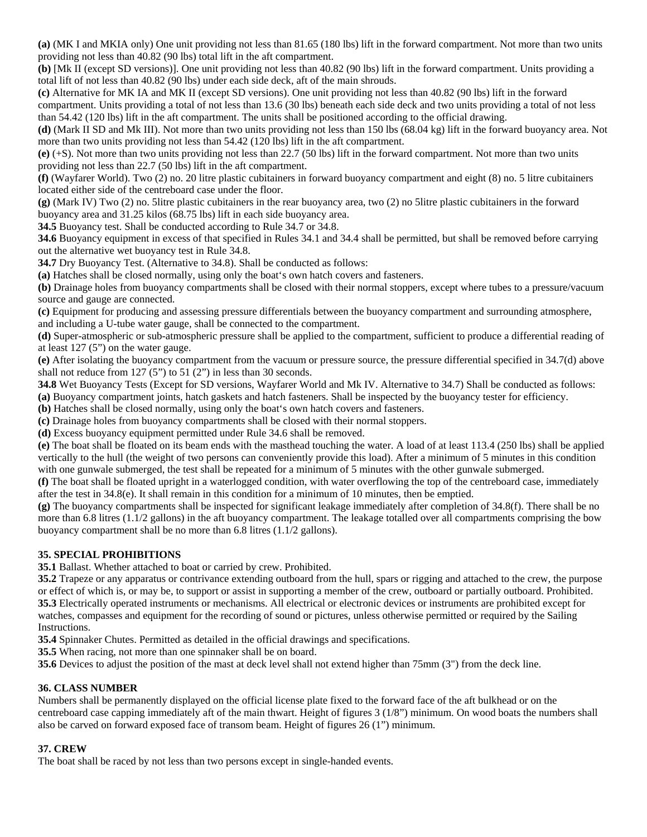**(a)** (MK I and MKIA only) One unit providing not less than 81.65 (180 lbs) lift in the forward compartment. Not more than two units providing not less than 40.82 (90 lbs) total lift in the aft compartment.

**(b)** [Mk II (except SD versions)]. One unit providing not less than 40.82 (90 lbs) lift in the forward compartment. Units providing a total lift of not less than 40.82 (90 lbs) under each side deck, aft of the main shrouds.

**(c)** Alternative for MK IA and MK II (except SD versions). One unit providing not less than 40.82 (90 lbs) lift in the forward compartment. Units providing a total of not less than 13.6 (30 lbs) beneath each side deck and two units providing a total of not less than 54.42 (120 lbs) lift in the aft compartment. The units shall be positioned according to the official drawing.

**(d)** (Mark II SD and Mk III). Not more than two units providing not less than 150 lbs (68.04 kg) lift in the forward buoyancy area. Not more than two units providing not less than 54.42 (120 lbs) lift in the aft compartment.

**(e)** (+S). Not more than two units providing not less than 22.7 (50 lbs) lift in the forward compartment. Not more than two units providing not less than 22.7 (50 lbs) lift in the aft compartment.

**(f)** (Wayfarer World). Two (2) no. 20 litre plastic cubitainers in forward buoyancy compartment and eight (8) no. 5 litre cubitainers located either side of the centreboard case under the floor.

**(g)** (Mark IV) Two (2) no. 5litre plastic cubitainers in the rear buoyancy area, two (2) no 5litre plastic cubitainers in the forward buoyancy area and 31.25 kilos (68.75 lbs) lift in each side buoyancy area.

**34.5** Buoyancy test. Shall be conducted according to Rule 34.7 or 34.8.

**34.6** Buoyancy equipment in excess of that specified in Rules 34.1 and 34.4 shall be permitted, but shall be removed before carrying out the alternative wet buoyancy test in Rule 34.8.

**34.7** Dry Buoyancy Test. (Alternative to 34.8). Shall be conducted as follows:

**(a)** Hatches shall be closed normally, using only the boat's own hatch covers and fasteners.

**(b)** Drainage holes from buoyancy compartments shall be closed with their normal stoppers, except where tubes to a pressure/vacuum source and gauge are connected.

**(c)** Equipment for producing and assessing pressure differentials between the buoyancy compartment and surrounding atmosphere, and including a U-tube water gauge, shall be connected to the compartment.

**(d)** Super-atmospheric or sub-atmospheric pressure shall be applied to the compartment, sufficient to produce a differential reading of at least 127 (5") on the water gauge.

**(e)** After isolating the buoyancy compartment from the vacuum or pressure source, the pressure differential specified in 34.7(d) above shall not reduce from 127 (5") to 51 (2") in less than 30 seconds.

**34.8** Wet Buoyancy Tests (Except for SD versions, Wayfarer World and Mk IV. Alternative to 34.7) Shall be conducted as follows: **(a)** Buoyancy compartment joints, hatch gaskets and hatch fasteners. Shall be inspected by the buoyancy tester for efficiency.

**(b)** Hatches shall be closed normally, using only the boat's own hatch covers and fasteners.

**(c)** Drainage holes from buoyancy compartments shall be closed with their normal stoppers.

**(d)** Excess buoyancy equipment permitted under Rule 34.6 shall be removed.

**(e)** The boat shall be floated on its beam ends with the masthead touching the water. A load of at least 113.4 (250 lbs) shall be applied vertically to the hull (the weight of two persons can conveniently provide this load). After a minimum of 5 minutes in this condition with one gunwale submerged, the test shall be repeated for a minimum of 5 minutes with the other gunwale submerged.

**(f)** The boat shall be floated upright in a waterlogged condition, with water overflowing the top of the centreboard case, immediately after the test in 34.8(e). It shall remain in this condition for a minimum of 10 minutes, then be emptied.

**(g)** The buoyancy compartments shall be inspected for significant leakage immediately after completion of 34.8(f). There shall be no more than 6.8 litres (1.1/2 gallons) in the aft buoyancy compartment. The leakage totalled over all compartments comprising the bow buoyancy compartment shall be no more than 6.8 litres (1.1/2 gallons).

## **35. SPECIAL PROHIBITIONS**

**35.1** Ballast. Whether attached to boat or carried by crew. Prohibited.

**35.2** Trapeze or any apparatus or contrivance extending outboard from the hull, spars or rigging and attached to the crew, the purpose or effect of which is, or may be, to support or assist in supporting a member of the crew, outboard or partially outboard. Prohibited. **35.3** Electrically operated instruments or mechanisms. All electrical or electronic devices or instruments are prohibited except for watches, compasses and equipment for the recording of sound or pictures, unless otherwise permitted or required by the Sailing Instructions.

**35.4** Spinnaker Chutes. Permitted as detailed in the official drawings and specifications.

**35.5** When racing, not more than one spinnaker shall be on board.

**35.6** Devices to adjust the position of the mast at deck level shall not extend higher than 75mm (3") from the deck line.

## **36. CLASS NUMBER**

Numbers shall be permanently displayed on the official license plate fixed to the forward face of the aft bulkhead or on the centreboard case capping immediately aft of the main thwart. Height of figures 3 (1/8") minimum. On wood boats the numbers shall also be carved on forward exposed face of transom beam. Height of figures 26 (1") minimum.

## **37. CREW**

The boat shall be raced by not less than two persons except in single-handed events.